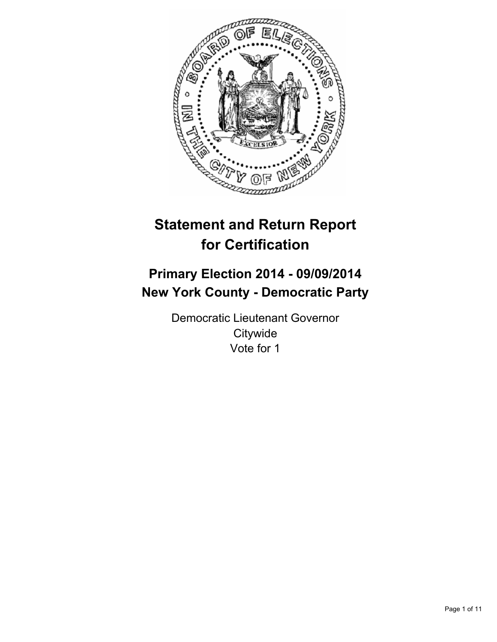

# **Statement and Return Report for Certification**

# **Primary Election 2014 - 09/09/2014 New York County - Democratic Party**

Democratic Lieutenant Governor **Citywide** Vote for 1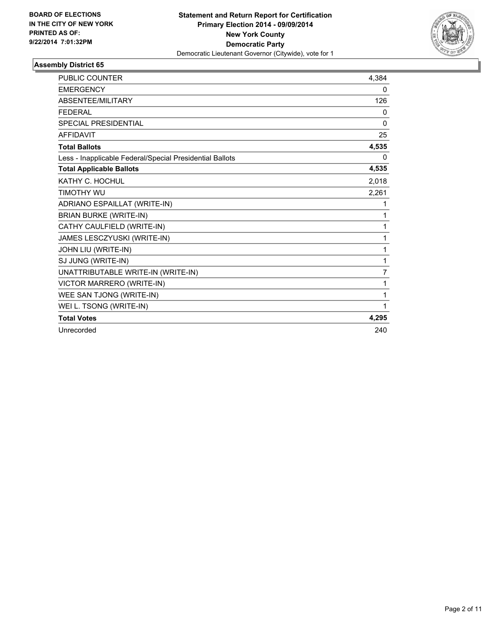

| <b>PUBLIC COUNTER</b>                                    | 4,384 |
|----------------------------------------------------------|-------|
| <b>EMERGENCY</b>                                         | 0     |
| ABSENTEE/MILITARY                                        | 126   |
| <b>FEDERAL</b>                                           | 0     |
| <b>SPECIAL PRESIDENTIAL</b>                              | 0     |
| <b>AFFIDAVIT</b>                                         | 25    |
| <b>Total Ballots</b>                                     | 4,535 |
| Less - Inapplicable Federal/Special Presidential Ballots | 0     |
| <b>Total Applicable Ballots</b>                          | 4,535 |
| KATHY C. HOCHUL                                          | 2,018 |
| TIMOTHY WU                                               | 2,261 |
| ADRIANO ESPAILLAT (WRITE-IN)                             | 1     |
| <b>BRIAN BURKE (WRITE-IN)</b>                            | 1     |
| CATHY CAULFIELD (WRITE-IN)                               | 1     |
| JAMES LESCZYUSKI (WRITE-IN)                              | 1     |
| JOHN LIU (WRITE-IN)                                      | 1     |
| SJ JUNG (WRITE-IN)                                       | 1     |
| UNATTRIBUTABLE WRITE-IN (WRITE-IN)                       | 7     |
| VICTOR MARRERO (WRITE-IN)                                | 1     |
| WEE SAN TJONG (WRITE-IN)                                 | 1     |
| WEI L. TSONG (WRITE-IN)                                  | 1     |
| <b>Total Votes</b>                                       | 4,295 |
| Unrecorded                                               | 240   |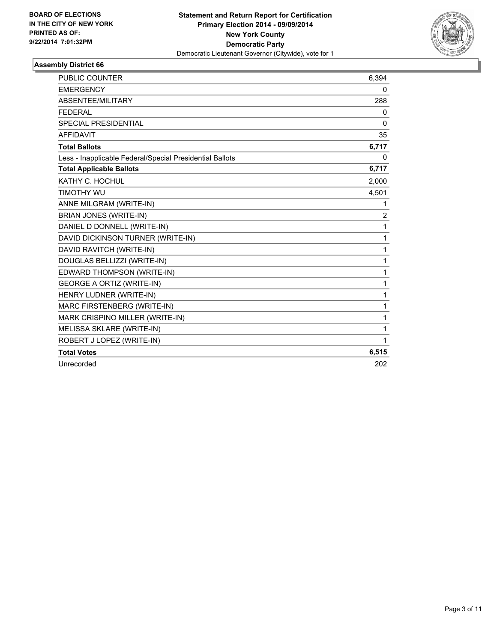

| <b>PUBLIC COUNTER</b>                                    | 6,394          |
|----------------------------------------------------------|----------------|
| <b>EMERGENCY</b>                                         | 0              |
| <b>ABSENTEE/MILITARY</b>                                 | 288            |
| <b>FEDERAL</b>                                           | 0              |
| <b>SPECIAL PRESIDENTIAL</b>                              | 0              |
| <b>AFFIDAVIT</b>                                         | 35             |
| <b>Total Ballots</b>                                     | 6,717          |
| Less - Inapplicable Federal/Special Presidential Ballots | 0              |
| <b>Total Applicable Ballots</b>                          | 6,717          |
| KATHY C. HOCHUL                                          | 2,000          |
| <b>TIMOTHY WU</b>                                        | 4,501          |
| ANNE MILGRAM (WRITE-IN)                                  | 1              |
| <b>BRIAN JONES (WRITE-IN)</b>                            | $\overline{2}$ |
| DANIEL D DONNELL (WRITE-IN)                              | $\mathbf{1}$   |
| DAVID DICKINSON TURNER (WRITE-IN)                        | $\mathbf{1}$   |
| DAVID RAVITCH (WRITE-IN)                                 | 1              |
| DOUGLAS BELLIZZI (WRITE-IN)                              | 1              |
| EDWARD THOMPSON (WRITE-IN)                               | 1              |
| <b>GEORGE A ORTIZ (WRITE-IN)</b>                         | $\mathbf{1}$   |
| HENRY LUDNER (WRITE-IN)                                  | 1              |
| MARC FIRSTENBERG (WRITE-IN)                              | $\mathbf{1}$   |
| MARK CRISPINO MILLER (WRITE-IN)                          | $\mathbf 1$    |
| MELISSA SKLARE (WRITE-IN)                                | $\mathbf{1}$   |
| ROBERT J LOPEZ (WRITE-IN)                                | 1              |
| <b>Total Votes</b>                                       | 6,515          |
| Unrecorded                                               | 202            |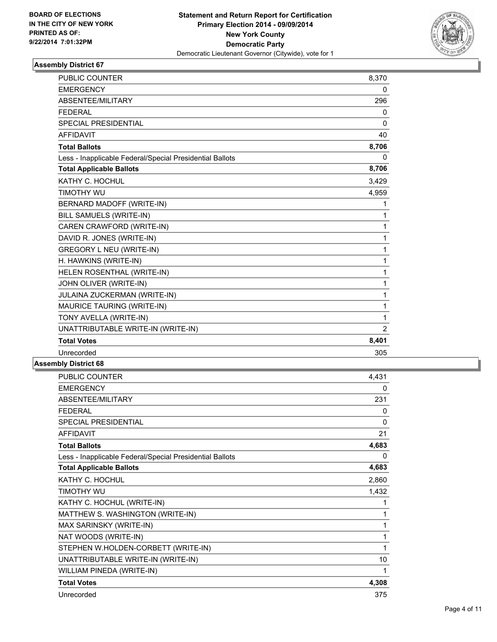

| <b>PUBLIC COUNTER</b>                                    | 8,370          |
|----------------------------------------------------------|----------------|
| <b>EMERGENCY</b>                                         | 0              |
| ABSENTEE/MILITARY                                        | 296            |
| <b>FEDERAL</b>                                           | 0              |
| <b>SPECIAL PRESIDENTIAL</b>                              | $\Omega$       |
| <b>AFFIDAVIT</b>                                         | 40             |
| <b>Total Ballots</b>                                     | 8,706          |
| Less - Inapplicable Federal/Special Presidential Ballots | 0              |
| <b>Total Applicable Ballots</b>                          | 8,706          |
| KATHY C. HOCHUL                                          | 3,429          |
| <b>TIMOTHY WU</b>                                        | 4,959          |
| BERNARD MADOFF (WRITE-IN)                                | 1              |
| BILL SAMUELS (WRITE-IN)                                  | 1              |
| CAREN CRAWFORD (WRITE-IN)                                | 1              |
| DAVID R. JONES (WRITE-IN)                                | 1              |
| <b>GREGORY L NEU (WRITE-IN)</b>                          | 1              |
| H. HAWKINS (WRITE-IN)                                    | 1              |
| HELEN ROSENTHAL (WRITE-IN)                               | 1              |
| JOHN OLIVER (WRITE-IN)                                   | 1              |
| JULAINA ZUCKERMAN (WRITE-IN)                             | 1              |
| MAURICE TAURING (WRITE-IN)                               | 1              |
| TONY AVELLA (WRITE-IN)                                   | 1              |
| UNATTRIBUTABLE WRITE-IN (WRITE-IN)                       | $\overline{2}$ |
| <b>Total Votes</b>                                       | 8,401          |
| Unrecorded                                               | 305            |

| <b>PUBLIC COUNTER</b>                                    | 4,431    |
|----------------------------------------------------------|----------|
| <b>EMERGENCY</b>                                         | 0        |
| ABSENTEE/MILITARY                                        | 231      |
| <b>FEDERAL</b>                                           | $\Omega$ |
| <b>SPECIAL PRESIDENTIAL</b>                              | 0        |
| <b>AFFIDAVIT</b>                                         | 21       |
| <b>Total Ballots</b>                                     | 4,683    |
| Less - Inapplicable Federal/Special Presidential Ballots | 0        |
| <b>Total Applicable Ballots</b>                          | 4,683    |
| KATHY C. HOCHUL                                          | 2,860    |
| <b>TIMOTHY WU</b>                                        | 1,432    |
| KATHY C. HOCHUL (WRITE-IN)                               | 1        |
| MATTHEW S. WASHINGTON (WRITE-IN)                         | 1        |
| MAX SARINSKY (WRITE-IN)                                  | 1        |
| NAT WOODS (WRITE-IN)                                     | 1        |
| STEPHEN W.HOLDEN-CORBETT (WRITE-IN)                      | 1        |
| UNATTRIBUTABLE WRITE-IN (WRITE-IN)                       | 10       |
| WILLIAM PINEDA (WRITE-IN)                                | 1        |
| <b>Total Votes</b>                                       | 4,308    |
| Unrecorded                                               | 375      |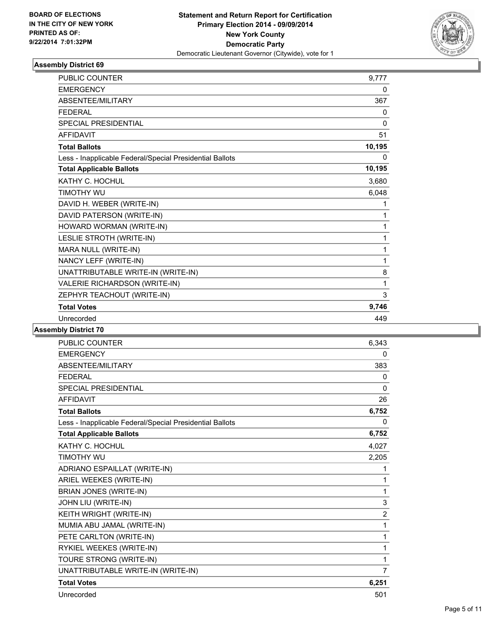

| PUBLIC COUNTER                                           | 9.777    |
|----------------------------------------------------------|----------|
| <b>EMERGENCY</b>                                         | 0        |
| ABSENTEE/MILITARY                                        | 367      |
| <b>FEDERAL</b>                                           | 0        |
| <b>SPECIAL PRESIDENTIAL</b>                              | $\Omega$ |
| <b>AFFIDAVIT</b>                                         | 51       |
| <b>Total Ballots</b>                                     | 10,195   |
| Less - Inapplicable Federal/Special Presidential Ballots | 0        |
| <b>Total Applicable Ballots</b>                          | 10,195   |
| KATHY C. HOCHUL                                          | 3,680    |
| <b>TIMOTHY WU</b>                                        | 6,048    |
| DAVID H. WEBER (WRITE-IN)                                | 1        |
| DAVID PATERSON (WRITE-IN)                                | 1        |
| HOWARD WORMAN (WRITE-IN)                                 | 1        |
| LESLIE STROTH (WRITE-IN)                                 | 1        |
| MARA NULL (WRITE-IN)                                     | 1        |
| NANCY LEFF (WRITE-IN)                                    | 1        |
| UNATTRIBUTABLE WRITE-IN (WRITE-IN)                       | 8        |
| VALERIE RICHARDSON (WRITE-IN)                            | 1        |
| ZEPHYR TEACHOUT (WRITE-IN)                               | 3        |
| <b>Total Votes</b>                                       | 9,746    |
| Unrecorded                                               | 449      |

| PUBLIC COUNTER                                           | 6,343          |
|----------------------------------------------------------|----------------|
| <b>EMERGENCY</b>                                         | 0              |
| <b>ABSENTEE/MILITARY</b>                                 | 383            |
| <b>FEDERAL</b>                                           | 0              |
| SPECIAL PRESIDENTIAL                                     | $\mathbf{0}$   |
| <b>AFFIDAVIT</b>                                         | 26             |
| <b>Total Ballots</b>                                     | 6,752          |
| Less - Inapplicable Federal/Special Presidential Ballots | $\mathbf{0}$   |
| <b>Total Applicable Ballots</b>                          | 6,752          |
| KATHY C. HOCHUL                                          | 4,027          |
| TIMOTHY WU                                               | 2,205          |
| ADRIANO ESPAILLAT (WRITE-IN)                             | 1              |
| ARIEL WEEKES (WRITE-IN)                                  | 1              |
| BRIAN JONES (WRITE-IN)                                   | 1              |
| JOHN LIU (WRITE-IN)                                      | 3              |
| KEITH WRIGHT (WRITE-IN)                                  | $\overline{2}$ |
| MUMIA ABU JAMAL (WRITE-IN)                               | 1              |
| PETE CARLTON (WRITE-IN)                                  | 1              |
| RYKIEL WEEKES (WRITE-IN)                                 | 1              |
| TOURE STRONG (WRITE-IN)                                  | 1              |
| UNATTRIBUTABLE WRITE-IN (WRITE-IN)                       | $\overline{7}$ |
| <b>Total Votes</b>                                       | 6,251          |
| Unrecorded                                               | 501            |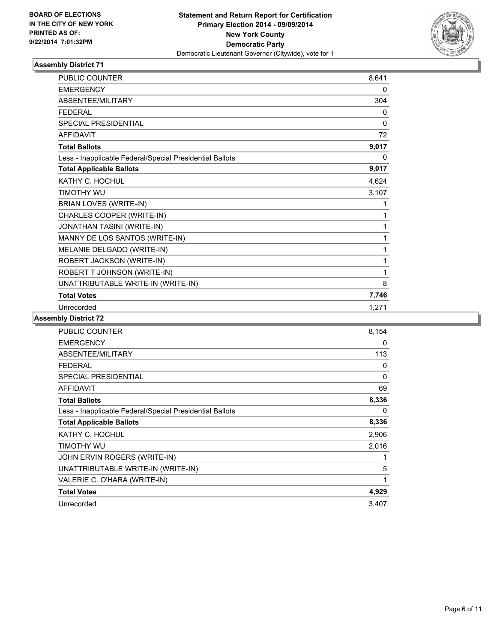

| PUBLIC COUNTER                                           | 8,641 |
|----------------------------------------------------------|-------|
| <b>EMERGENCY</b>                                         | 0     |
| ABSENTEE/MILITARY                                        | 304   |
| <b>FEDERAL</b>                                           | 0     |
| <b>SPECIAL PRESIDENTIAL</b>                              | 0     |
| <b>AFFIDAVIT</b>                                         | 72    |
| <b>Total Ballots</b>                                     | 9,017 |
| Less - Inapplicable Federal/Special Presidential Ballots | 0     |
| <b>Total Applicable Ballots</b>                          | 9,017 |
| KATHY C. HOCHUL                                          | 4,624 |
| TIMOTHY WU                                               | 3,107 |
| BRIAN LOVES (WRITE-IN)                                   | 1     |
| CHARLES COOPER (WRITE-IN)                                | 1     |
| JONATHAN TASINI (WRITE-IN)                               | 1     |
| MANNY DE LOS SANTOS (WRITE-IN)                           | 1     |
| MELANIE DELGADO (WRITE-IN)                               | 1     |
| ROBERT JACKSON (WRITE-IN)                                | 1     |
| ROBERT T JOHNSON (WRITE-IN)                              | 1     |
| UNATTRIBUTABLE WRITE-IN (WRITE-IN)                       | 8     |
| <b>Total Votes</b>                                       | 7,746 |
| Unrecorded                                               | 1,271 |

| PUBLIC COUNTER                                           | 8,154        |
|----------------------------------------------------------|--------------|
| <b>EMERGENCY</b>                                         | 0            |
| ABSENTEE/MILITARY                                        | 113          |
| <b>FEDERAL</b>                                           | 0            |
| <b>SPECIAL PRESIDENTIAL</b>                              | $\mathbf{0}$ |
| AFFIDAVIT                                                | 69           |
| <b>Total Ballots</b>                                     | 8,336        |
| Less - Inapplicable Federal/Special Presidential Ballots | 0            |
| <b>Total Applicable Ballots</b>                          | 8,336        |
| KATHY C. HOCHUL                                          | 2,906        |
| timothy wu                                               | 2,016        |
| JOHN ERVIN ROGERS (WRITE-IN)                             | 1            |
| UNATTRIBUTABLE WRITE-IN (WRITE-IN)                       | 5            |
| VALERIE C. O'HARA (WRITE-IN)                             | 1            |
| <b>Total Votes</b>                                       | 4,929        |
| Unrecorded                                               | 3,407        |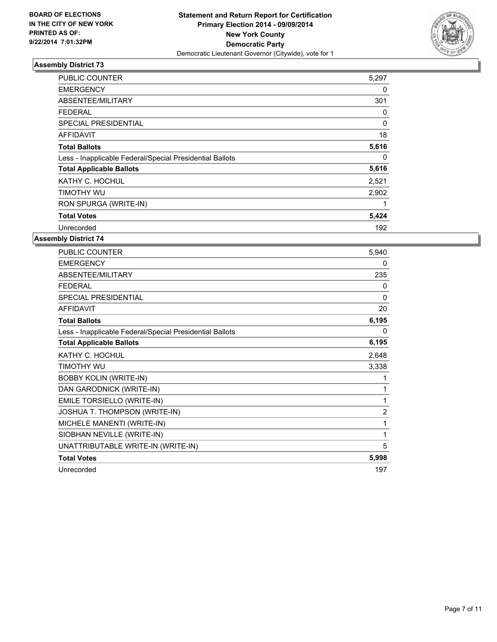

| <b>PUBLIC COUNTER</b>                                    | 5,297 |
|----------------------------------------------------------|-------|
| <b>EMERGENCY</b>                                         | 0     |
| ABSENTEE/MILITARY                                        | 301   |
| <b>FEDERAL</b>                                           | 0     |
| SPECIAL PRESIDENTIAL                                     | 0     |
| <b>AFFIDAVIT</b>                                         | 18    |
| <b>Total Ballots</b>                                     | 5,616 |
| Less - Inapplicable Federal/Special Presidential Ballots | 0     |
| <b>Total Applicable Ballots</b>                          | 5,616 |
| KATHY C. HOCHUL                                          | 2,521 |
| TIMOTHY WU                                               | 2,902 |
| RON SPURGA (WRITE-IN)                                    | 1     |
| <b>Total Votes</b>                                       | 5,424 |
| Unrecorded                                               | 192   |

| <b>PUBLIC COUNTER</b>                                    | 5,940          |
|----------------------------------------------------------|----------------|
| <b>EMERGENCY</b>                                         | 0              |
| ABSENTEE/MILITARY                                        | 235            |
| <b>FEDERAL</b>                                           | 0              |
| SPECIAL PRESIDENTIAL                                     | 0              |
| <b>AFFIDAVIT</b>                                         | 20             |
| <b>Total Ballots</b>                                     | 6,195          |
| Less - Inapplicable Federal/Special Presidential Ballots | 0              |
| <b>Total Applicable Ballots</b>                          | 6,195          |
| KATHY C. HOCHUL                                          | 2,648          |
| <b>TIMOTHY WU</b>                                        | 3,338          |
| <b>BOBBY KOLIN (WRITE-IN)</b>                            | 1              |
| DAN GARODNICK (WRITE-IN)                                 | 1              |
| EMILE TORSIELLO (WRITE-IN)                               | 1              |
| JOSHUA T. THOMPSON (WRITE-IN)                            | $\overline{2}$ |
| MICHELE MANENTI (WRITE-IN)                               | 1              |
| SIOBHAN NEVILLE (WRITE-IN)                               | 1              |
| UNATTRIBUTABLE WRITE-IN (WRITE-IN)                       | 5              |
| <b>Total Votes</b>                                       | 5,998          |
| Unrecorded                                               | 197            |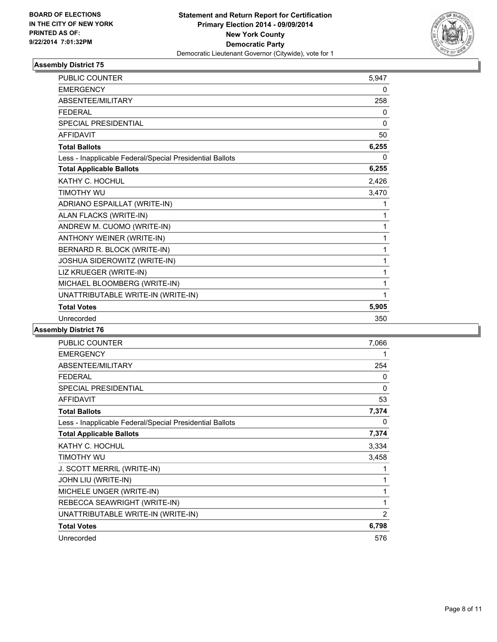

| <b>PUBLIC COUNTER</b>                                    | 5.947    |
|----------------------------------------------------------|----------|
| <b>EMERGENCY</b>                                         | 0        |
| ABSENTEE/MILITARY                                        | 258      |
| <b>FEDERAL</b>                                           | 0        |
| SPECIAL PRESIDENTIAL                                     | $\Omega$ |
| <b>AFFIDAVIT</b>                                         | 50       |
| <b>Total Ballots</b>                                     | 6,255    |
| Less - Inapplicable Federal/Special Presidential Ballots | 0        |
| <b>Total Applicable Ballots</b>                          | 6,255    |
| KATHY C. HOCHUL                                          | 2,426    |
| TIMOTHY WU                                               | 3,470    |
| ADRIANO ESPAILLAT (WRITE-IN)                             | 1        |
| ALAN FLACKS (WRITE-IN)                                   | 1        |
| ANDREW M. CUOMO (WRITE-IN)                               | 1        |
| ANTHONY WEINER (WRITE-IN)                                | 1        |
| BERNARD R. BLOCK (WRITE-IN)                              | 1        |
| JOSHUA SIDEROWITZ (WRITE-IN)                             | 1        |
| LIZ KRUEGER (WRITE-IN)                                   | 1        |
| MICHAEL BLOOMBERG (WRITE-IN)                             | 1        |
| UNATTRIBUTABLE WRITE-IN (WRITE-IN)                       | 1        |
| <b>Total Votes</b>                                       | 5,905    |
| Unrecorded                                               | 350      |

| <b>PUBLIC COUNTER</b>                                    | 7,066 |
|----------------------------------------------------------|-------|
| <b>EMERGENCY</b>                                         | 1     |
| ABSENTEE/MILITARY                                        | 254   |
| <b>FEDERAL</b>                                           | 0     |
| <b>SPECIAL PRESIDENTIAL</b>                              | 0     |
| <b>AFFIDAVIT</b>                                         | 53    |
| <b>Total Ballots</b>                                     | 7,374 |
| Less - Inapplicable Federal/Special Presidential Ballots | 0     |
| <b>Total Applicable Ballots</b>                          | 7,374 |
| KATHY C. HOCHUL                                          | 3,334 |
| TIMOTHY WU                                               | 3,458 |
| J. SCOTT MERRIL (WRITE-IN)                               | 1     |
| JOHN LIU (WRITE-IN)                                      | 1     |
| MICHELE UNGER (WRITE-IN)                                 | 1     |
| REBECCA SEAWRIGHT (WRITE-IN)                             | 1     |
| UNATTRIBUTABLE WRITE-IN (WRITE-IN)                       | 2     |
| <b>Total Votes</b>                                       | 6,798 |
| Unrecorded                                               | 576   |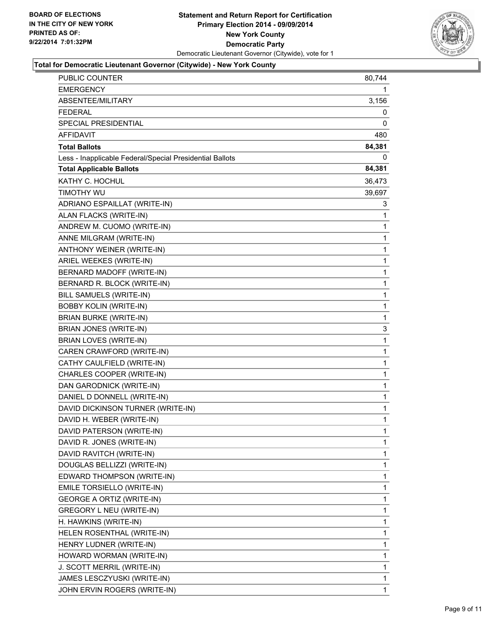

#### **Total for Democratic Lieutenant Governor (Citywide) - New York County**

| PUBLIC COUNTER                                           | 80,744      |
|----------------------------------------------------------|-------------|
| <b>EMERGENCY</b>                                         | 1           |
| ABSENTEE/MILITARY                                        | 3,156       |
| FEDERAL                                                  | 0           |
| SPECIAL PRESIDENTIAL                                     | 0           |
| AFFIDAVIT                                                | 480         |
| <b>Total Ballots</b>                                     | 84,381      |
| Less - Inapplicable Federal/Special Presidential Ballots | 0           |
| <b>Total Applicable Ballots</b>                          | 84,381      |
| KATHY C. HOCHUL                                          | 36,473      |
| <b>TIMOTHY WU</b>                                        | 39,697      |
| ADRIANO ESPAILLAT (WRITE-IN)                             | 3           |
| ALAN FLACKS (WRITE-IN)                                   | 1           |
| ANDREW M. CUOMO (WRITE-IN)                               | 1           |
| ANNE MILGRAM (WRITE-IN)                                  | 1           |
| ANTHONY WEINER (WRITE-IN)                                | 1           |
| ARIEL WEEKES (WRITE-IN)                                  | 1           |
| BERNARD MADOFF (WRITE-IN)                                | 1           |
| BERNARD R. BLOCK (WRITE-IN)                              | 1           |
| BILL SAMUELS (WRITE-IN)                                  | 1           |
| <b>BOBBY KOLIN (WRITE-IN)</b>                            | 1           |
| <b>BRIAN BURKE (WRITE-IN)</b>                            | 1           |
| BRIAN JONES (WRITE-IN)                                   | 3           |
| <b>BRIAN LOVES (WRITE-IN)</b>                            | 1           |
| CAREN CRAWFORD (WRITE-IN)                                | 1           |
| CATHY CAULFIELD (WRITE-IN)                               | 1           |
| CHARLES COOPER (WRITE-IN)                                | 1           |
| DAN GARODNICK (WRITE-IN)                                 | 1           |
| DANIEL D DONNELL (WRITE-IN)                              | 1           |
| DAVID DICKINSON TURNER (WRITE-IN)                        | $\mathbf 1$ |
| DAVID H. WEBER (WRITE-IN)                                | 1           |
| DAVID PATERSON (WRITE-IN)                                | 1           |
| DAVID R. JONES (WRITE-IN)                                | 1           |
| DAVID RAVITCH (WRITE-IN)                                 | 1           |
| DOUGLAS BELLIZZI (WRITE-IN)                              | 1           |
| EDWARD THOMPSON (WRITE-IN)                               | 1           |
| EMILE TORSIELLO (WRITE-IN)                               | 1           |
| <b>GEORGE A ORTIZ (WRITE-IN)</b>                         | 1           |
| GREGORY L NEU (WRITE-IN)                                 | 1           |
| H. HAWKINS (WRITE-IN)                                    | 1           |
| HELEN ROSENTHAL (WRITE-IN)                               | 1           |
| HENRY LUDNER (WRITE-IN)                                  | 1           |
| HOWARD WORMAN (WRITE-IN)                                 | 1           |
| J. SCOTT MERRIL (WRITE-IN)                               | 1           |
| JAMES LESCZYUSKI (WRITE-IN)                              | 1           |
| JOHN ERVIN ROGERS (WRITE-IN)                             | 1           |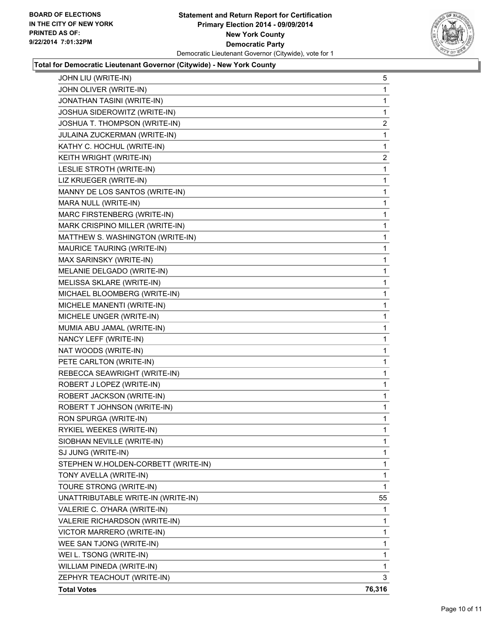

#### **Total for Democratic Lieutenant Governor (Citywide) - New York County**

| JOHN LIU (WRITE-IN)                 | 5              |
|-------------------------------------|----------------|
| JOHN OLIVER (WRITE-IN)              | 1              |
| JONATHAN TASINI (WRITE-IN)          | 1              |
| JOSHUA SIDEROWITZ (WRITE-IN)        | 1              |
| JOSHUA T. THOMPSON (WRITE-IN)       | $\overline{2}$ |
| JULAINA ZUCKERMAN (WRITE-IN)        | 1              |
| KATHY C. HOCHUL (WRITE-IN)          | 1              |
| KEITH WRIGHT (WRITE-IN)             | $\overline{c}$ |
| LESLIE STROTH (WRITE-IN)            | 1              |
| LIZ KRUEGER (WRITE-IN)              | 1              |
| MANNY DE LOS SANTOS (WRITE-IN)      | 1              |
| MARA NULL (WRITE-IN)                | 1              |
| MARC FIRSTENBERG (WRITE-IN)         | 1              |
| MARK CRISPINO MILLER (WRITE-IN)     | 1              |
| MATTHEW S. WASHINGTON (WRITE-IN)    | 1              |
| MAURICE TAURING (WRITE-IN)          | 1              |
| MAX SARINSKY (WRITE-IN)             | 1              |
| MELANIE DELGADO (WRITE-IN)          | 1              |
| MELISSA SKLARE (WRITE-IN)           | 1              |
| MICHAEL BLOOMBERG (WRITE-IN)        | 1              |
| MICHELE MANENTI (WRITE-IN)          | 1              |
| MICHELE UNGER (WRITE-IN)            | 1              |
| MUMIA ABU JAMAL (WRITE-IN)          | 1              |
| NANCY LEFF (WRITE-IN)               | 1              |
| NAT WOODS (WRITE-IN)                | 1              |
| PETE CARLTON (WRITE-IN)             | 1              |
| REBECCA SEAWRIGHT (WRITE-IN)        | 1              |
| ROBERT J LOPEZ (WRITE-IN)           | 1              |
| ROBERT JACKSON (WRITE-IN)           | $\mathbf{1}$   |
| ROBERT T JOHNSON (WRITE-IN)         | 1              |
| RON SPURGA (WRITE-IN)               | 1              |
| RYKIEL WEEKES (WRITE-IN)            | 1              |
| SIOBHAN NEVILLE (WRITE-IN)          | 1              |
| SJ JUNG (WRITE-IN)                  | 1              |
| STEPHEN W.HOLDEN-CORBETT (WRITE-IN) | 1              |
| TONY AVELLA (WRITE-IN)              | 1              |
| TOURE STRONG (WRITE-IN)             | 1              |
| UNATTRIBUTABLE WRITE-IN (WRITE-IN)  | 55             |
| VALERIE C. O'HARA (WRITE-IN)        | 1              |
| VALERIE RICHARDSON (WRITE-IN)       | 1              |
| VICTOR MARRERO (WRITE-IN)           | 1              |
| WEE SAN TJONG (WRITE-IN)            | 1              |
| WEI L. TSONG (WRITE-IN)             | 1              |
| WILLIAM PINEDA (WRITE-IN)           | 1              |
| ZEPHYR TEACHOUT (WRITE-IN)          | 3              |
| <b>Total Votes</b>                  | 76,316         |